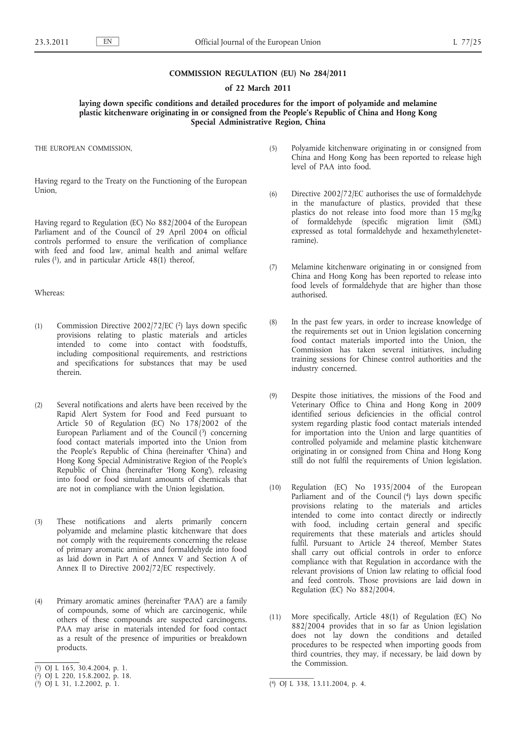### **COMMISSION REGULATION (EU) No 284/2011**

### **of 22 March 2011**

# **laying down specific conditions and detailed procedures for the import of polyamide and melamine plastic kitchenware originating in or consigned from the People's Republic of China and Hong Kong Special Administrative Region, China**

THE EUROPEAN COMMISSION,

Having regard to the Treaty on the Functioning of the European Union,

Having regard to Regulation (EC) No 882/2004 of the European Parliament and of the Council of 29 April 2004 on official controls performed to ensure the verification of compliance with feed and food law, animal health and animal welfare rules (1), and in particular Article 48(1) thereof,

# Whereas:

- (1) Commission Directive 2002/72/EC (2) lays down specific provisions relating to plastic materials and articles intended to come into contact with foodstuffs, including compositional requirements, and restrictions and specifications for substances that may be used therein.
- (2) Several notifications and alerts have been received by the Rapid Alert System for Food and Feed pursuant to Article 50 of Regulation (EC) No 178/2002 of the European Parliament and of the Council (3) concerning food contact materials imported into the Union from the People's Republic of China (hereinafter 'China') and Hong Kong Special Administrative Region of the People's Republic of China (hereinafter 'Hong Kong'), releasing into food or food simulant amounts of chemicals that are not in compliance with the Union legislation.
- (3) These notifications and alerts primarily concern polyamide and melamine plastic kitchenware that does not comply with the requirements concerning the release of primary aromatic amines and formaldehyde into food as laid down in Part A of Annex V and Section A of Annex II to Directive 2002/72/EC respectively.
- (4) Primary aromatic amines (hereinafter 'PAA') are a family of compounds, some of which are carcinogenic, while others of these compounds are suspected carcinogens. PAA may arise in materials intended for food contact as a result of the presence of impurities or breakdown products.
- ( 1) OJ L 165, 30.4.2004, p. 1.
- (5) Polyamide kitchenware originating in or consigned from China and Hong Kong has been reported to release high level of PAA into food.
- (6) Directive 2002/72/EC authorises the use of formaldehyde in the manufacture of plastics, provided that these plastics do not release into food more than 15 mg/kg of formaldehyde (specific migration limit (SML) expressed as total formaldehyde and hexamethylenetetramine).
- (7) Melamine kitchenware originating in or consigned from China and Hong Kong has been reported to release into food levels of formaldehyde that are higher than those authorised.
- (8) In the past few years, in order to increase knowledge of the requirements set out in Union legislation concerning food contact materials imported into the Union, the Commission has taken several initiatives, including training sessions for Chinese control authorities and the industry concerned.
- (9) Despite those initiatives, the missions of the Food and Veterinary Office to China and Hong Kong in 2009 identified serious deficiencies in the official control system regarding plastic food contact materials intended for importation into the Union and large quantities of controlled polyamide and melamine plastic kitchenware originating in or consigned from China and Hong Kong still do not fulfil the requirements of Union legislation.
- (10) Regulation (EC) No 1935/2004 of the European Parliament and of the Council (4) lays down specific provisions relating to the materials and articles intended to come into contact directly or indirectly with food, including certain general and specific requirements that these materials and articles should fulfil. Pursuant to Article 24 thereof, Member States shall carry out official controls in order to enforce compliance with that Regulation in accordance with the relevant provisions of Union law relating to official food and feed controls. Those provisions are laid down in Regulation (EC) No 882/2004.
- (11) More specifically, Article 48(1) of Regulation (EC) No 882/2004 provides that in so far as Union legislation does not lay down the conditions and detailed procedures to be respected when importing goods from third countries, they may, if necessary, be laid down by the Commission.

<sup>(</sup> 2) OJ L 220, 15.8.2002, p. 18.

 $(3)$  OJ L 31, 1.2.2002, p. 1.

<sup>(4)</sup> OJ L 338, 13.11.2004, p. 4.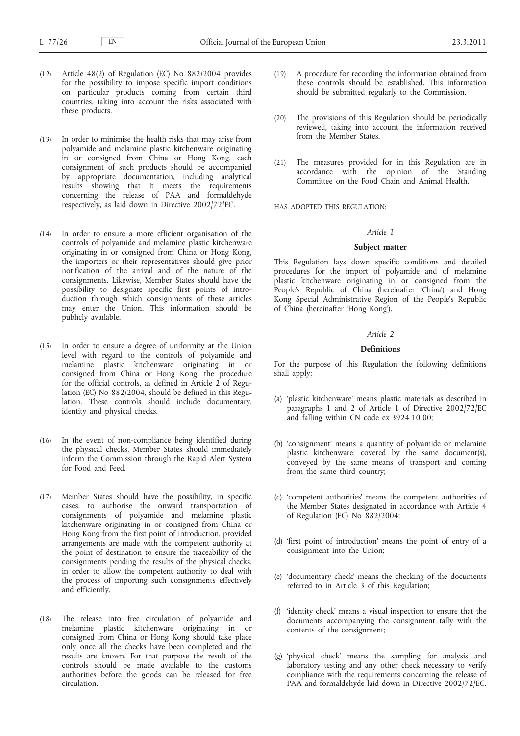- (12) Article 48(2) of Regulation (EC) No 882/2004 provides for the possibility to impose specific import conditions on particular products coming from certain third countries, taking into account the risks associated with these products.
- (13) In order to minimise the health risks that may arise from polyamide and melamine plastic kitchenware originating in or consigned from China or Hong Kong, each consignment of such products should be accompanied by appropriate documentation, including analytical results showing that it meets the requirements concerning the release of PAA and formaldehyde respectively, as laid down in Directive 2002/72/EC.
- (14) In order to ensure a more efficient organisation of the controls of polyamide and melamine plastic kitchenware originating in or consigned from China or Hong Kong, the importers or their representatives should give prior notification of the arrival and of the nature of the consignments. Likewise, Member States should have the possibility to designate specific first points of introduction through which consignments of these articles may enter the Union. This information should be publicly available.
- (15) In order to ensure a degree of uniformity at the Union level with regard to the controls of polyamide and melamine plastic kitchenware originating in or consigned from China or Hong Kong, the procedure for the official controls, as defined in Article 2 of Regulation (EC) No 882/2004, should be defined in this Regulation. These controls should include documentary, identity and physical checks.
- (16) In the event of non-compliance being identified during the physical checks, Member States should immediately inform the Commission through the Rapid Alert System for Food and Feed.
- (17) Member States should have the possibility, in specific cases, to authorise the onward transportation of consignments of polyamide and melamine plastic kitchenware originating in or consigned from China or Hong Kong from the first point of introduction, provided arrangements are made with the competent authority at the point of destination to ensure the traceability of the consignments pending the results of the physical checks, in order to allow the competent authority to deal with the process of importing such consignments effectively and efficiently.
- (18) The release into free circulation of polyamide and melamine plastic kitchenware originating in or consigned from China or Hong Kong should take place only once all the checks have been completed and the results are known. For that purpose the result of the controls should be made available to the customs authorities before the goods can be released for free circulation.
- (19) A procedure for recording the information obtained from these controls should be established. This information should be submitted regularly to the Commission.
- (20) The provisions of this Regulation should be periodically reviewed, taking into account the information received from the Member States.
- (21) The measures provided for in this Regulation are in accordance with the opinion of the Standing Committee on the Food Chain and Animal Health,

HAS ADOPTED THIS REGULATION:

### *Article 1*

### **Subject matter**

This Regulation lays down specific conditions and detailed procedures for the import of polyamide and of melamine plastic kitchenware originating in or consigned from the People's Republic of China (hereinafter 'China') and Hong Kong Special Administrative Region of the People's Republic of China (hereinafter 'Hong Kong').

# *Article 2*

# **Definitions**

For the purpose of this Regulation the following definitions shall apply:

- (a) 'plastic kitchenware' means plastic materials as described in paragraphs 1 and 2 of Article 1 of Directive 2002/72/EC and falling within CN code ex 3924 10 00;
- (b) 'consignment' means a quantity of polyamide or melamine plastic kitchenware, covered by the same document(s), conveyed by the same means of transport and coming from the same third country;
- (c) 'competent authorities' means the competent authorities of the Member States designated in accordance with Article 4 of Regulation (EC) No 882/2004;
- (d) 'first point of introduction' means the point of entry of a consignment into the Union;
- (e) 'documentary check' means the checking of the documents referred to in Article 3 of this Regulation;
- (f) 'identity check' means a visual inspection to ensure that the documents accompanying the consignment tally with the contents of the consignment;
- (g) 'physical check' means the sampling for analysis and laboratory testing and any other check necessary to verify compliance with the requirements concerning the release of PAA and formaldehyde laid down in Directive 2002/72/EC.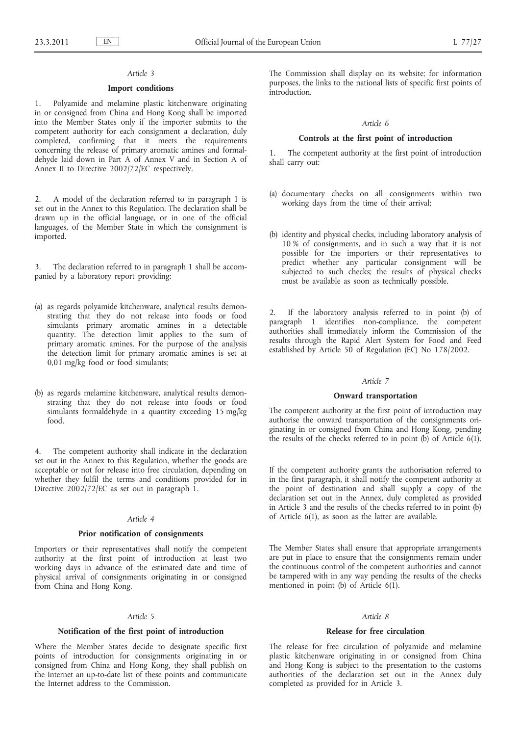## *Article 3*

### **Import conditions**

1. Polyamide and melamine plastic kitchenware originating in or consigned from China and Hong Kong shall be imported into the Member States only if the importer submits to the competent authority for each consignment a declaration, duly completed, confirming that it meets the requirements concerning the release of primary aromatic amines and formaldehyde laid down in Part A of Annex V and in Section A of Annex II to Directive 2002/72/EC respectively.

2. A model of the declaration referred to in paragraph 1 is set out in the Annex to this Regulation. The declaration shall be drawn up in the official language, or in one of the official languages, of the Member State in which the consignment is imported.

3. The declaration referred to in paragraph 1 shall be accompanied by a laboratory report providing:

- (a) as regards polyamide kitchenware, analytical results demonstrating that they do not release into foods or food simulants primary aromatic amines in a detectable quantity. The detection limit applies to the sum of primary aromatic amines. For the purpose of the analysis the detection limit for primary aromatic amines is set at 0,01 mg/kg food or food simulants;
- (b) as regards melamine kitchenware, analytical results demonstrating that they do not release into foods or food simulants formaldehyde in a quantity exceeding 15 mg/kg food.

4. The competent authority shall indicate in the declaration set out in the Annex to this Regulation, whether the goods are acceptable or not for release into free circulation, depending on whether they fulfil the terms and conditions provided for in Directive 2002/72/EC as set out in paragraph 1.

## *Article 4*

### **Prior notification of consignments**

Importers or their representatives shall notify the competent authority at the first point of introduction at least two working days in advance of the estimated date and time of physical arrival of consignments originating in or consigned from China and Hong Kong.

### *Article 5*

### **Notification of the first point of introduction**

Where the Member States decide to designate specific first points of introduction for consignments originating in or consigned from China and Hong Kong, they shall publish on the Internet an up-to-date list of these points and communicate the Internet address to the Commission.

The Commission shall display on its website; for information purposes, the links to the national lists of specific first points of introduction.

# *Article 6*

## **Controls at the first point of introduction**

1. The competent authority at the first point of introduction shall carry out:

- (a) documentary checks on all consignments within two working days from the time of their arrival;
- (b) identity and physical checks, including laboratory analysis of 10 % of consignments, and in such a way that it is not possible for the importers or their representatives to predict whether any particular consignment will be subjected to such checks; the results of physical checks must be available as soon as technically possible.

2. If the laboratory analysis referred to in point (b) of paragraph 1 identifies non-compliance, the competent authorities shall immediately inform the Commission of the results through the Rapid Alert System for Food and Feed established by Article 50 of Regulation (EC) No 178/2002.

## *Article 7*

## **Onward transportation**

The competent authority at the first point of introduction may authorise the onward transportation of the consignments originating in or consigned from China and Hong Kong, pending the results of the checks referred to in point (b) of Article 6(1).

If the competent authority grants the authorisation referred to in the first paragraph, it shall notify the competent authority at the point of destination and shall supply a copy of the declaration set out in the Annex, duly completed as provided in Article 3 and the results of the checks referred to in point (b) of Article 6(1), as soon as the latter are available.

The Member States shall ensure that appropriate arrangements are put in place to ensure that the consignments remain under the continuous control of the competent authorities and cannot be tampered with in any way pending the results of the checks mentioned in point (b) of Article 6(1).

### *Article 8*

## **Release for free circulation**

The release for free circulation of polyamide and melamine plastic kitchenware originating in or consigned from China and Hong Kong is subject to the presentation to the customs authorities of the declaration set out in the Annex duly completed as provided for in Article 3.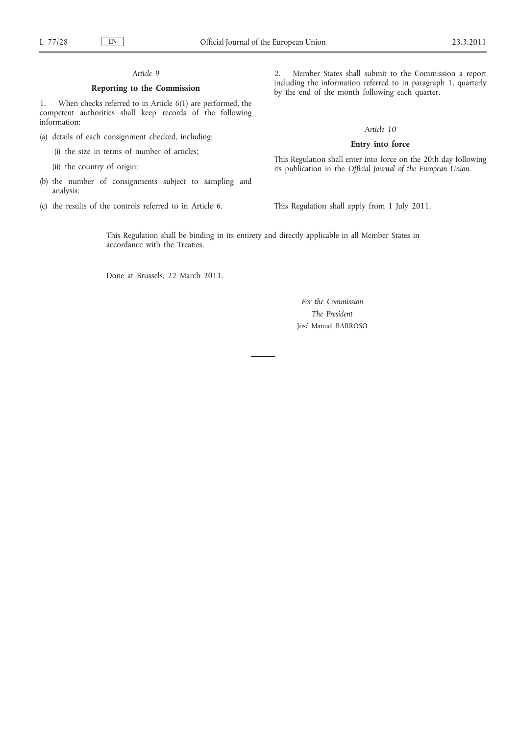# *Article 9*

### **Reporting to the Commission**

1. When checks referred to in Article 6(1) are performed, the competent authorities shall keep records of the following information:

(a) details of each consignment checked, including:

(i) the size in terms of number of articles;

- (ii) the country of origin;
- (b) the number of consignments subject to sampling and analysis;
- (c) the results of the controls referred to in Article 6.

2. Member States shall submit to the Commission a report including the information referred to in paragraph 1, quarterly by the end of the month following each quarter.

## *Article 10*

### **Entry into force**

This Regulation shall enter into force on the 20th day following its publication in the *Official Journal of the European Union*.

This Regulation shall apply from 1 July 2011.

This Regulation shall be binding in its entirety and directly applicable in all Member States in accordance with the Treaties.

Done at Brussels, 22 March 2011.

*For the Commission The President* José Manuel BARROSO